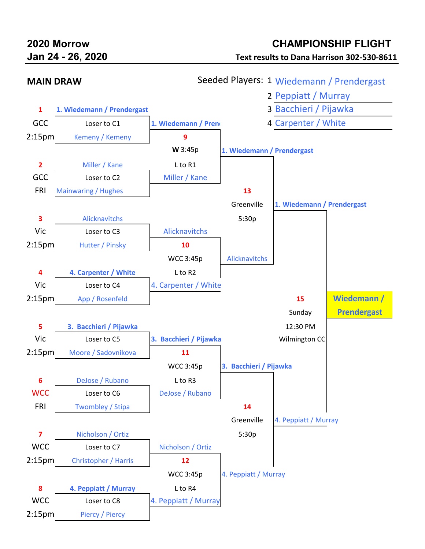## **2020 Morrow CHAMPIONSHIP FLIGHT**

**Jan 24 - 26, 2020 Text results to Dana Harrison 302-530-8611**

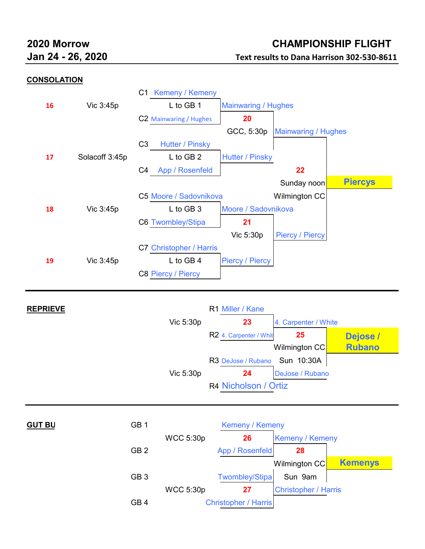# **2020 Morrow CHAMPIONSHIP FLIGHT Jan 24 - 26, 2020 Text results to Dana Harrison 302-530-8611**

### **CONSOLATION**



| Vic 5:30p<br>23<br>4. Carpenter / White |               |  |
|-----------------------------------------|---------------|--|
|                                         |               |  |
| R2 4. Carpenter / White<br>25           | Dejose /      |  |
| Wilmington CC                           | <b>Rubano</b> |  |
| R3 DeJose / Rubano Sun 10:30A           |               |  |
| DeJose / Rubano<br>Vic 5:30p<br>24      |               |  |
| R4 Nicholson / Ortiz                    |               |  |
|                                         |               |  |
|                                         |               |  |

| <b>GUT BU</b> | GB <sub>1</sub> |                  | Kemeny / Kemeny             |                             |                |  |
|---------------|-----------------|------------------|-----------------------------|-----------------------------|----------------|--|
|               |                 | <b>WCC 5:30p</b> | 26                          | <b>Kemeny / Kemeny</b>      |                |  |
|               | GB <sub>2</sub> |                  | App / Rosenfeld             | 28                          |                |  |
|               |                 |                  |                             | Wilmington CC               | <b>Kemenys</b> |  |
|               | GB <sub>3</sub> |                  | <b>Twombley/Stipa</b>       | Sun 9am                     |                |  |
|               |                 | <b>WCC 5:30p</b> | 27                          | <b>Christopher / Harris</b> |                |  |
|               | GB <sub>4</sub> |                  | <b>Christopher / Harris</b> |                             |                |  |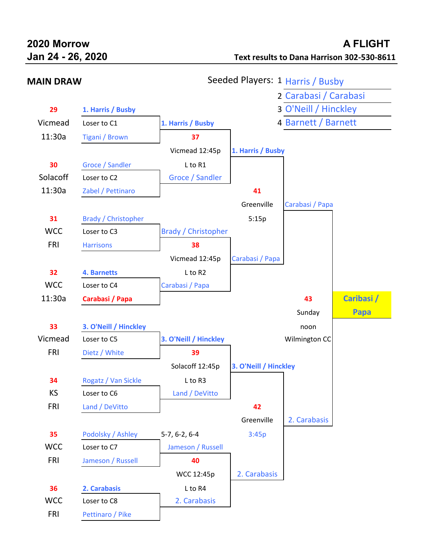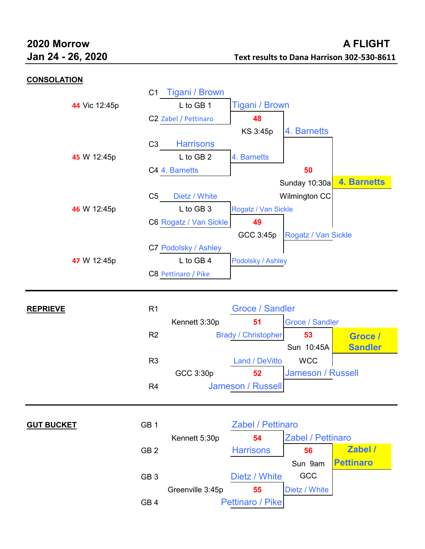### **CONSOLATION**

|                   | C1              | <b>Tigani / Brown</b>  |                            |                          |                    |
|-------------------|-----------------|------------------------|----------------------------|--------------------------|--------------------|
| 44 Vic 12:45p     |                 | L to GB 1              | <b>Tigani / Brown</b>      |                          |                    |
|                   |                 | C2 Zabel / Pettinaro   | 48                         |                          |                    |
|                   |                 |                        | KS 3:45p                   | 4. Barnetts              |                    |
|                   | C <sub>3</sub>  | <b>Harrisons</b>       |                            |                          |                    |
| 45 W 12:45p       |                 | L to GB 2              | 4. Barnetts                |                          |                    |
|                   |                 | C4 4. Barnetts         |                            | 50                       |                    |
|                   |                 |                        |                            | Sunday 10:30a            | <b>4. Barnetts</b> |
|                   | C5              | Dietz / White          |                            | Wilmington CC            |                    |
| 46 W 12:45p       |                 | L to GB 3              | Rogatz / Van Sickle        |                          |                    |
|                   |                 | C6 Rogatz / Van Sickle | 49                         |                          |                    |
|                   |                 |                        | GCC 3:45p                  | Rogatz / Van Sickle      |                    |
|                   |                 | C7 Podolsky / Ashley   |                            |                          |                    |
| 47 W 12:45p       |                 | L to GB 4              | Podolsky / Ashley          |                          |                    |
|                   |                 | C8 Pettinaro / Pike    |                            |                          |                    |
|                   |                 |                        |                            |                          |                    |
|                   |                 |                        |                            |                          |                    |
|                   |                 |                        |                            |                          |                    |
| <b>REPRIEVE</b>   | R <sub>1</sub>  |                        | <b>Groce / Sandler</b>     |                          |                    |
|                   |                 | Kennett 3:30p          | 51                         | <b>Groce / Sandler</b>   |                    |
|                   | R2              |                        | <b>Brady / Christopher</b> | 53                       | Groce /            |
|                   |                 |                        |                            | Sun 10:45A               | <b>Sandler</b>     |
|                   | R <sub>3</sub>  |                        | Land / DeVitto             | <b>WCC</b>               |                    |
|                   |                 | GCC 3:30p              | 52                         | Jameson / Russell        |                    |
|                   | R <sub>4</sub>  |                        | Jameson / Russell          |                          |                    |
|                   |                 |                        |                            |                          |                    |
|                   |                 |                        |                            |                          |                    |
| <b>GUT BUCKET</b> | GB <sub>1</sub> |                        | <b>Zabel / Pettinaro</b>   |                          |                    |
|                   |                 | Kennett 5:30p          | 54                         | <b>Zabel / Pettinaro</b> |                    |
|                   | GB <sub>2</sub> |                        | <b>Harrisons</b>           | 56                       | Zabel /            |
|                   |                 |                        |                            | Sun 9am                  | <b>Pettinaro</b>   |
|                   | GB <sub>3</sub> |                        | Dietz / White              | GCC                      |                    |
|                   | GB <sub>4</sub> | Greenville 3:45p       | 55<br>Pettinaro / Pike     | Dietz / White            |                    |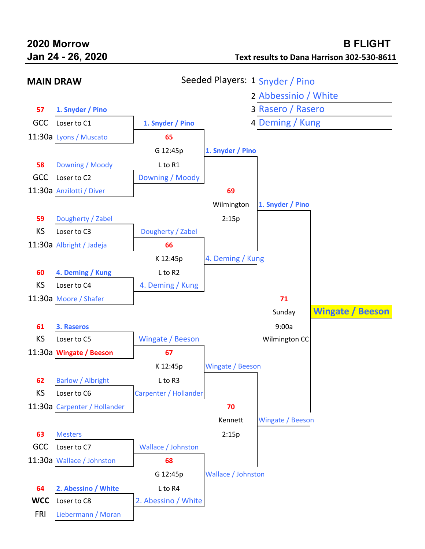